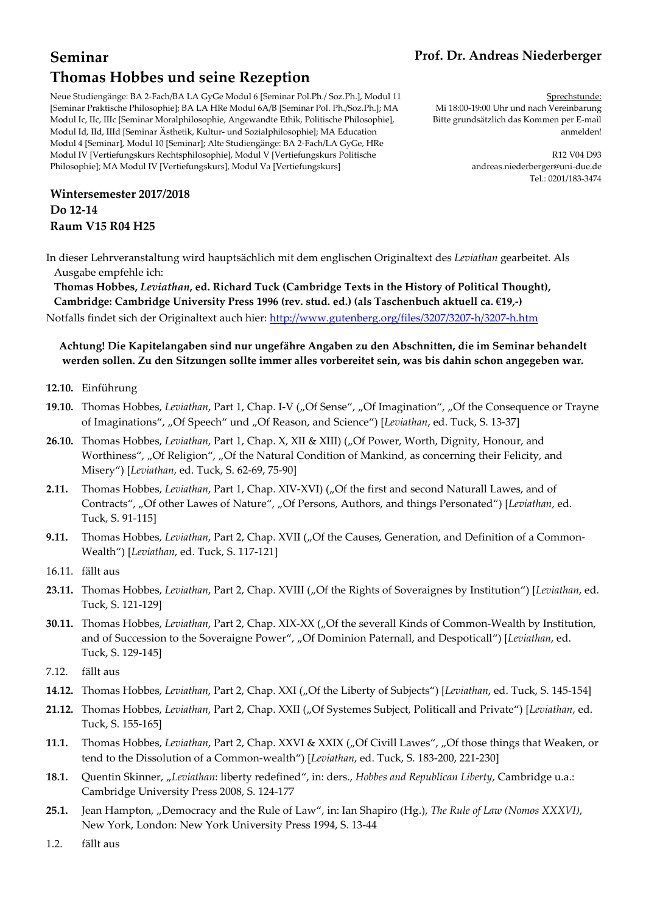# **Seminar Thomas Hobbes und seine Rezeption**

#### Neue Studiengänge: BA 2-Fach/BA LA GyGe Modul 6 [Seminar Pol.Ph./ Soz.Ph.], Modul 11 [Seminar Praktische Philosophie]; BA LA HRe Modul 6A/B [Seminar Pol. Ph./Soz.Ph.]; MA Modul Ic, IIc, IIIc [Seminar Moralphilosophie, Angewandte Ethik, Politische Philosophie], Modul Id, IId, IIId [Seminar Ästhetik, Kultur- und Sozialphilosophie]; MA Education Modul 4 [Seminar], Modul 10 [Seminar]; Alte Studiengänge: BA 2-Fach/LA GyGe, HRe Modul IV [Vertiefungskurs Rechtsphilosophie], Modul V [Vertiefungskurs Politische Philosophie]; MA Modul IV [Vertiefungskurs], Modul Va [Vertiefungskurs]

**Wintersemester 2017/2018 Do 12-14 Raum V15 R04 H25** 

## **Prof. Dr. Andreas Niederberger**

Sprechstunde: Mi 18:00-19:00 Uhr und nach Vereinbarung Bitte grundsätzlich das Kommen per E-mail anmelden!

> R12 V04 D93 andreas.niederberger@uni-due.de Tel.: 0201/183-3474

In dieser Lehrveranstaltung wird hauptsächlich mit dem englischen Originaltext des *Leviathan* gearbeitet. Als Ausgabe empfehle ich:

**Thomas Hobbes,** *Leviathan***, ed. Richard Tuck (Cambridge Texts in the History of Political Thought), Cambridge: Cambridge University Press 1996 (rev. stud. ed.) (als Taschenbuch aktuell ca. €19,-)** 

Notfalls findet sich der Originaltext auch hier: http://www.gutenberg.org/files/3207/3207-h/3207-h.htm

### **Achtung! Die Kapitelangaben sind nur ungefähre Angaben zu den Abschnitten, die im Seminar behandelt werden sollen. Zu den Sitzungen sollte immer alles vorbereitet sein, was bis dahin schon angegeben war.**

- **12.10.** Einführung
- **19.10.** Thomas Hobbes, *Leviathan*, Part 1, Chap. I-V ("Of Sense", "Of Imagination", "Of the Consequence or Trayne of Imaginations", "Of Speech" und "Of Reason, and Science") [*Leviathan*, ed. Tuck, S. 13-37]
- 26.10. Thomas Hobbes, *Leviathan*, Part 1, Chap. X, XII & XIII) ("Of Power, Worth, Dignity, Honour, and Worthiness", "Of Religion", "Of the Natural Condition of Mankind, as concerning their Felicity, and Misery") [*Leviathan*, ed. Tuck, S. 62-69, 75-90]
- **2.11.** Thomas Hobbes, *Leviathan*, Part 1, Chap. XIV-XVI) ("Of the first and second Naturall Lawes, and of Contracts", "Of other Lawes of Nature", "Of Persons, Authors, and things Personated") [Leviathan, ed. Tuck, S. 91-115]
- **9.11.** Thomas Hobbes, *Leviathan*, Part 2, Chap. XVII ("Of the Causes, Generation, and Definition of a Common-Wealth") [*Leviathan*, ed. Tuck, S. 117-121]
- 16.11. fällt aus
- 23.11. Thomas Hobbes, *Leviathan*, Part 2, Chap. XVIII ("Of the Rights of Soveraignes by Institution") [*Leviathan*, ed. Tuck, S. 121-129]
- **30.11.** Thomas Hobbes, *Leviathan*, Part 2, Chap. XIX-XX ("Of the severall Kinds of Common-Wealth by Institution, and of Succession to the Soveraigne Power", "Of Dominion Paternall, and Despoticall") [*Leviathan*, ed. Tuck, S. 129-145]
- 7.12. fällt aus
- **14.12.** Thomas Hobbes, *Leviathan*, Part 2, Chap. XXI ("Of the Liberty of Subjects") [*Leviathan*, ed. Tuck, S. 145-154]
- **21.12.** Thomas Hobbes, *Leviathan*, Part 2, Chap. XXII ("Of Systemes Subject, Politicall and Private") [*Leviathan*, ed. Tuck, S. 155-165]
- **11.1.** Thomas Hobbes, *Leviathan*, Part 2, Chap. XXVI & XXIX ("Of Civill Lawes", "Of those things that Weaken, or tend to the Dissolution of a Common-wealth") [*Leviathan*, ed. Tuck, S. 183-200, 221-230]
- **18.1.** Quentin Skinner, "*Leviathan*: liberty redefined", in: ders., *Hobbes and Republican Liberty*, Cambridge u.a.: Cambridge University Press 2008, S. 124-177
- **25.1.** Jean Hampton, "Democracy and the Rule of Law", in: Ian Shapiro (Hg.), *The Rule of Law (Nomos XXXVI)*, New York, London: New York University Press 1994, S. 13-44
- 1.2. fällt aus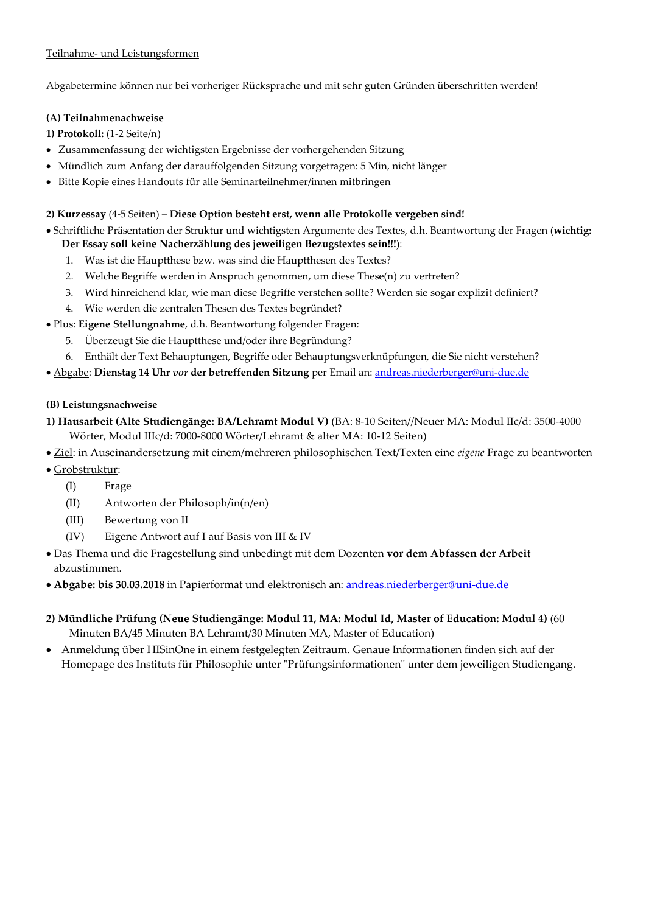Abgabetermine können nur bei vorheriger Rücksprache und mit sehr guten Gründen überschritten werden!

#### **(A) Teilnahmenachweise**

**1) Protokoll:** (1-2 Seite/n)

- Zusammenfassung der wichtigsten Ergebnisse der vorhergehenden Sitzung
- Mündlich zum Anfang der darauffolgenden Sitzung vorgetragen: 5 Min, nicht länger
- Bitte Kopie eines Handouts für alle Seminarteilnehmer/innen mitbringen

#### **2) Kurzessay** (4-5 Seiten) – **Diese Option besteht erst, wenn alle Protokolle vergeben sind!**

• Schriftliche Präsentation der Struktur und wichtigsten Argumente des Textes, d.h. Beantwortung der Fragen (**wichtig:** 

- **Der Essay soll keine Nacherzählung des jeweiligen Bezugstextes sein!!!**):
- 1. Was ist die Hauptthese bzw. was sind die Hauptthesen des Textes?
- 2. Welche Begriffe werden in Anspruch genommen, um diese These(n) zu vertreten?
- 3. Wird hinreichend klar, wie man diese Begriffe verstehen sollte? Werden sie sogar explizit definiert?
- 4. Wie werden die zentralen Thesen des Textes begründet?
- Plus: **Eigene Stellungnahme**, d.h. Beantwortung folgender Fragen:
	- 5. Überzeugt Sie die Hauptthese und/oder ihre Begründung?
	- 6. Enthält der Text Behauptungen, Begriffe oder Behauptungsverknüpfungen, die Sie nicht verstehen?
- Abgabe: **Dienstag 14 Uhr** *vor* **der betreffenden Sitzung** per Email an: andreas.niederberger@uni-due.de

### **(B) Leistungsnachweise**

- **1) Hausarbeit (Alte Studiengänge: BA/Lehramt Modul V)** (BA: 8-10 Seiten//Neuer MA: Modul IIc/d: 3500-4000 Wörter, Modul IIIc/d: 7000-8000 Wörter/Lehramt & alter MA: 10-12 Seiten)
- Ziel: in Auseinandersetzung mit einem/mehreren philosophischen Text/Texten eine *eigene* Frage zu beantworten
- Grobstruktur:
	- (I) Frage
	- (II) Antworten der Philosoph/in(n/en)
	- (III) Bewertung von II
	- (IV) Eigene Antwort auf I auf Basis von III & IV
- Das Thema und die Fragestellung sind unbedingt mit dem Dozenten **vor dem Abfassen der Arbeit** abzustimmen.
- **Abgabe: bis 30.03.2018** in Papierformat und elektronisch an: andreas.niederberger@uni-due.de
- **2) Mündliche Prüfung (Neue Studiengänge: Modul 11, MA: Modul Id, Master of Education: Modul 4)** (60 Minuten BA/45 Minuten BA Lehramt/30 Minuten MA, Master of Education)
- Anmeldung über HISinOne in einem festgelegten Zeitraum. Genaue Informationen finden sich auf der Homepage des Instituts für Philosophie unter "Prüfungsinformationen" unter dem jeweiligen Studiengang.